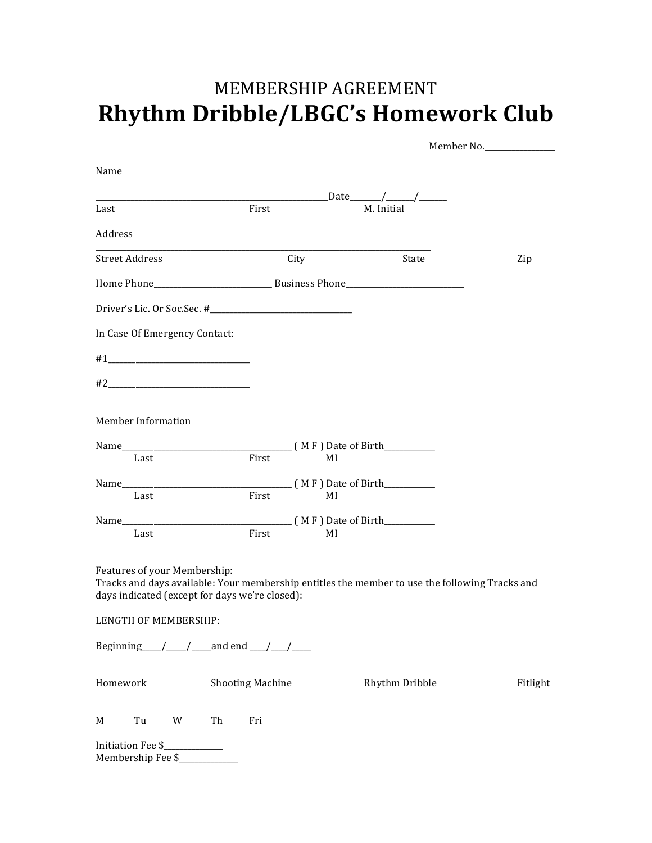## MEMBERSHIP AGREEMENT **Rhythm Dribble/LBGC's Homework Club**

|                                                                                                                                                                                  |                         |      |                                | Member No. |
|----------------------------------------------------------------------------------------------------------------------------------------------------------------------------------|-------------------------|------|--------------------------------|------------|
| Name                                                                                                                                                                             |                         |      |                                |            |
|                                                                                                                                                                                  |                         |      | _Date________/________/_______ |            |
| Last                                                                                                                                                                             | First                   |      | M. Initial                     |            |
| Address                                                                                                                                                                          |                         |      |                                |            |
| <b>Street Address</b>                                                                                                                                                            |                         | City | State                          | Zip        |
|                                                                                                                                                                                  |                         |      |                                |            |
|                                                                                                                                                                                  |                         |      |                                |            |
| In Case Of Emergency Contact:                                                                                                                                                    |                         |      |                                |            |
|                                                                                                                                                                                  |                         |      |                                |            |
|                                                                                                                                                                                  |                         |      |                                |            |
| <b>Member Information</b>                                                                                                                                                        |                         |      |                                |            |
|                                                                                                                                                                                  |                         |      |                                |            |
|                                                                                                                                                                                  |                         |      |                                |            |
| Last                                                                                                                                                                             | First                   | MI   |                                |            |
|                                                                                                                                                                                  |                         |      |                                |            |
| Last                                                                                                                                                                             | First                   | MI   |                                |            |
|                                                                                                                                                                                  |                         |      |                                |            |
| Last                                                                                                                                                                             | First                   | MI   |                                |            |
| Features of your Membership:<br>Tracks and days available: Your membership entitles the member to use the following Tracks and<br>days indicated (except for days we're closed): |                         |      |                                |            |
| LENGTH OF MEMBERSHIP:                                                                                                                                                            |                         |      |                                |            |
|                                                                                                                                                                                  |                         |      |                                |            |
| Homework                                                                                                                                                                         | <b>Shooting Machine</b> |      | Rhythm Dribble                 | Fitlight   |
| Tu<br>W<br>Th<br>M                                                                                                                                                               | Fri                     |      |                                |            |
| Initiation Fee \$                                                                                                                                                                |                         |      |                                |            |

Membership Fee \$\_\_\_\_\_\_\_\_\_\_\_\_\_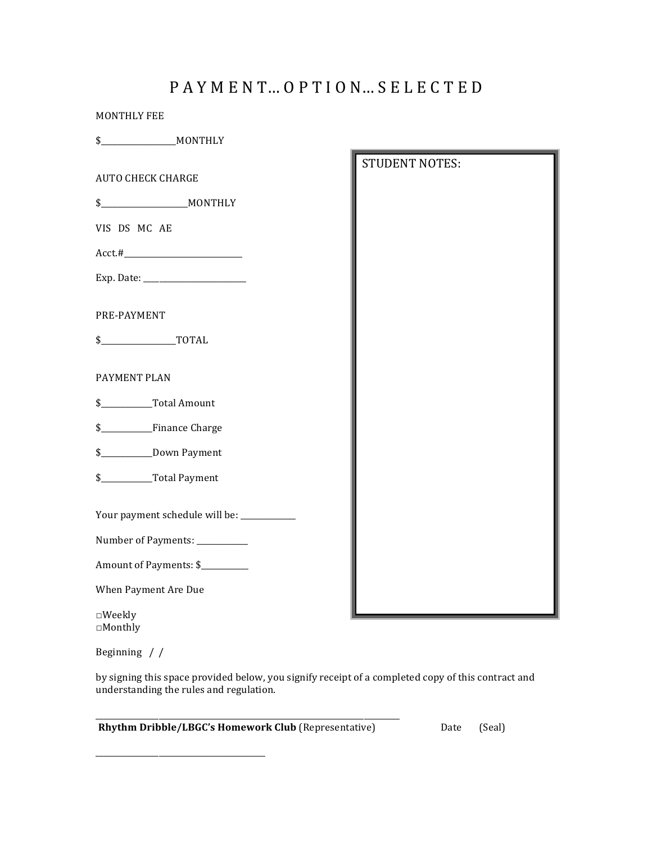## PAYMENT... OPTION... SELECTED

STUDENT NOTES:

| MONTHLY FEE |         |
|-------------|---------|
|             | MONTHLY |

**AUTO CHECK CHARGE** 

\$\_\_\_\_\_\_\_\_\_\_\_\_\_\_\_\_\_\_\_\_\_\_MONTHLY 

VIS DS MC AE

Acct.#\_\_\_\_\_\_\_\_\_\_\_\_\_\_\_\_\_\_\_\_\_\_\_\_\_\_\_\_\_\_ 

Exp. Date: \_\_\_\_\_\_\_\_\_\_\_\_\_\_\_\_\_\_\_\_\_\_\_\_\_\_ 

PRE-PAYMENT 

\$\_\_\_\_\_\_\_\_\_\_\_\_\_\_\_\_\_\_\_TOTAL 

## PAYMENT PLAN

- \$\_\_\_\_\_\_\_\_\_\_\_\_\_Total Amount
- \$\_\_\_\_\_\_\_\_\_\_\_\_\_Finance Charge
- \$\_\_\_\_\_\_\_\_\_\_\_\_\_Down Payment
- \$\_\_\_\_\_\_\_\_\_\_\_\_\_Total Payment
- Your payment schedule will be: \_\_\_\_\_\_\_\_\_\_\_
- Number of Payments: \_\_\_\_\_\_\_\_\_\_

Amount of Payments: \$

\_\_\_\_\_\_\_\_\_\_\_\_\_\_\_\_\_\_\_\_\_\_\_\_\_\_\_\_\_\_\_\_\_\_\_\_\_\_\_\_\_\_\_

When Payment Are Due

□Weekly □Monthly 

Beginning  $\frac{\ }{\ }$ 

by signing this space provided below, you signify receipt of a completed copy of this contract and understanding the rules and regulation.

| <b>Rhythm Dribble/LBGC's Homework Club (Representative)</b> | Date (Seal) |  |
|-------------------------------------------------------------|-------------|--|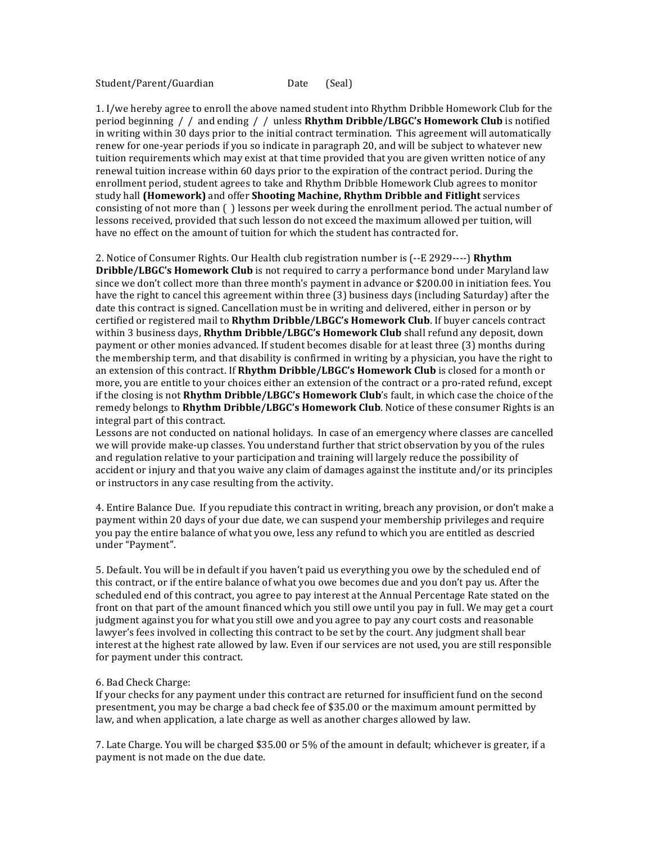Student/Parent/Guardian Date (Seal)

1. I/we hereby agree to enroll the above named student into Rhythm Dribble Homework Club for the period beginning / / and ending / / unless Rhythm Dribble/LBGC's Homework Club is notified in writing within 30 days prior to the initial contract termination. This agreement will automatically renew for one-year periods if you so indicate in paragraph 20, and will be subject to whatever new tuition requirements which may exist at that time provided that you are given written notice of any renewal tuition increase within 60 days prior to the expiration of the contract period. During the enrollment period, student agrees to take and Rhythm Dribble Homework Club agrees to monitor study hall **(Homework)** and offer **Shooting Machine, Rhythm Dribble and Fitlight** services consisting of not more than ( ) lessons per week during the enrollment period. The actual number of lessons received, provided that such lesson do not exceed the maximum allowed per tuition, will have no effect on the amount of tuition for which the student has contracted for.

2. Notice of Consumer Rights. Our Health club registration number is ( $-$ E 2929----) **Rhythm Dribble/LBGC's Homework Club** is not required to carry a performance bond under Maryland law since we don't collect more than three month's payment in advance or \$200.00 in initiation fees. You have the right to cancel this agreement within three (3) business days (including Saturday) after the date this contract is signed. Cancellation must be in writing and delivered, either in person or by certified or registered mail to **Rhythm Dribble/LBGC's Homework Club**. If buyer cancels contract within 3 business days, Rhythm Dribble/LBGC's Homework Club shall refund any deposit, down payment or other monies advanced. If student becomes disable for at least three (3) months during the membership term, and that disability is confirmed in writing by a physician, you have the right to an extension of this contract. If **Rhythm Dribble/LBGC's Homework Club** is closed for a month or more, you are entitle to your choices either an extension of the contract or a pro-rated refund, except if the closing is not Rhythm Dribble/LBGC's Homework Club's fault, in which case the choice of the remedy belongs to Rhythm Dribble/LBGC's Homework Club. Notice of these consumer Rights is an integral part of this contract.

Lessons are not conducted on national holidays. In case of an emergency where classes are cancelled we will provide make-up classes. You understand further that strict observation by you of the rules and regulation relative to your participation and training will largely reduce the possibility of accident or injury and that you waive any claim of damages against the institute and/or its principles or instructors in any case resulting from the activity.

4. Entire Balance Due. If you repudiate this contract in writing, breach any provision, or don't make a payment within 20 days of your due date, we can suspend your membership privileges and require you pay the entire balance of what you owe, less any refund to which you are entitled as descried under "Payment".

5. Default. You will be in default if you haven't paid us everything you owe by the scheduled end of this contract, or if the entire balance of what you owe becomes due and you don't pay us. After the scheduled end of this contract, you agree to pay interest at the Annual Percentage Rate stated on the front on that part of the amount financed which you still owe until you pay in full. We may get a court judgment against you for what you still owe and you agree to pay any court costs and reasonable lawyer's fees involved in collecting this contract to be set by the court. Any judgment shall bear interest at the highest rate allowed by law. Even if our services are not used, you are still responsible for payment under this contract.

## 6. Bad Check Charge:

If your checks for any payment under this contract are returned for insufficient fund on the second presentment, you may be charge a bad check fee of \$35.00 or the maximum amount permitted by law, and when application, a late charge as well as another charges allowed by law.

7. Late Charge. You will be charged \$35.00 or 5% of the amount in default; whichever is greater, if a payment is not made on the due date.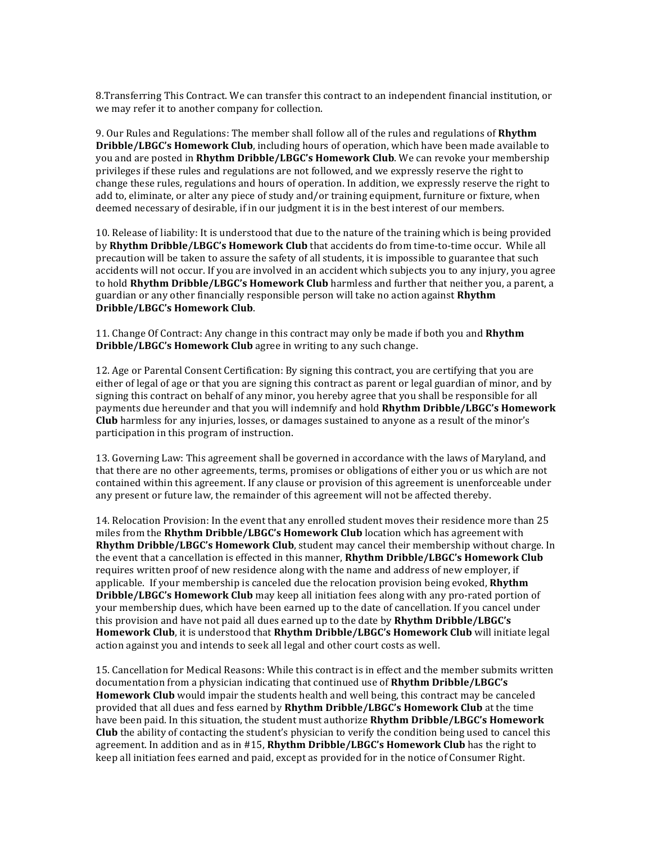8. Transferring This Contract. We can transfer this contract to an independent financial institution, or we may refer it to another company for collection.

9. Our Rules and Regulations: The member shall follow all of the rules and regulations of **Rhythm Dribble/LBGC's Homework Club**, including hours of operation, which have been made available to you and are posted in Rhythm Dribble/LBGC's Homework Club. We can revoke your membership privileges if these rules and regulations are not followed, and we expressly reserve the right to change these rules, regulations and hours of operation. In addition, we expressly reserve the right to add to, eliminate, or alter any piece of study and/or training equipment, furniture or fixture, when deemed necessary of desirable, if in our judgment it is in the best interest of our members.

10. Release of liability: It is understood that due to the nature of the training which is being provided by Rhythm Dribble/LBGC's Homework Club that accidents do from time-to-time occur. While all precaution will be taken to assure the safety of all students, it is impossible to guarantee that such accidents will not occur. If you are involved in an accident which subjects you to any injury, you agree to hold **Rhythm Dribble/LBGC's Homework Club** harmless and further that neither you, a parent, a guardian or any other financially responsible person will take no action against **Rhythm Dribble/LBGC's Homework Club**.

11. Change Of Contract: Any change in this contract may only be made if both you and **Rhythm Dribble/LBGC's Homework Club** agree in writing to any such change.

12. Age or Parental Consent Certification: By signing this contract, you are certifying that you are either of legal of age or that you are signing this contract as parent or legal guardian of minor, and by signing this contract on behalf of any minor, you hereby agree that you shall be responsible for all payments due hereunder and that you will indemnify and hold **Rhythm Dribble/LBGC's Homework Club** harmless for any injuries, losses, or damages sustained to anyone as a result of the minor's participation in this program of instruction.

13. Governing Law: This agreement shall be governed in accordance with the laws of Maryland, and that there are no other agreements, terms, promises or obligations of either you or us which are not contained within this agreement. If any clause or provision of this agreement is unenforceable under any present or future law, the remainder of this agreement will not be affected thereby.

14. Relocation Provision: In the event that any enrolled student moves their residence more than 25 miles from the **Rhythm Dribble/LBGC's Homework Club** location which has agreement with **Rhythm Dribble/LBGC's Homework Club**, student may cancel their membership without charge. In the event that a cancellation is effected in this manner, **Rhythm Dribble/LBGC's Homework Club** requires written proof of new residence along with the name and address of new employer, if applicable. If your membership is canceled due the relocation provision being evoked, **Rhythm Dribble/LBGC's Homework Club** may keep all initiation fees along with any pro-rated portion of your membership dues, which have been earned up to the date of cancellation. If you cancel under this provision and have not paid all dues earned up to the date by **Rhythm Dribble/LBGC's Homework Club**, it is understood that **Rhythm Dribble/LBGC's Homework Club** will initiate legal action against you and intends to seek all legal and other court costs as well.

15. Cancellation for Medical Reasons: While this contract is in effect and the member submits written documentation from a physician indicating that continued use of **Rhythm Dribble/LBGC's Homework Club** would impair the students health and well being, this contract may be canceled provided that all dues and fess earned by **Rhythm Dribble/LBGC's Homework Club** at the time have been paid. In this situation, the student must authorize **Rhythm Dribble/LBGC's Homework Club** the ability of contacting the student's physician to verify the condition being used to cancel this agreement. In addition and as in #15, **Rhythm Dribble/LBGC's Homework Club** has the right to keep all initiation fees earned and paid, except as provided for in the notice of Consumer Right.